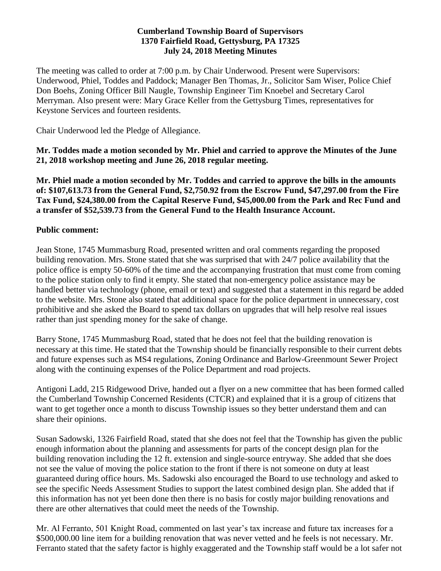#### **Cumberland Township Board of Supervisors 1370 Fairfield Road, Gettysburg, PA 17325 July 24, 2018 Meeting Minutes**

The meeting was called to order at 7:00 p.m. by Chair Underwood. Present were Supervisors: Underwood, Phiel, Toddes and Paddock; Manager Ben Thomas, Jr., Solicitor Sam Wiser, Police Chief Don Boehs, Zoning Officer Bill Naugle, Township Engineer Tim Knoebel and Secretary Carol Merryman. Also present were: Mary Grace Keller from the Gettysburg Times, representatives for Keystone Services and fourteen residents.

Chair Underwood led the Pledge of Allegiance.

**Mr. Toddes made a motion seconded by Mr. Phiel and carried to approve the Minutes of the June 21, 2018 workshop meeting and June 26, 2018 regular meeting.**

**Mr. Phiel made a motion seconded by Mr. Toddes and carried to approve the bills in the amounts of: \$107,613.73 from the General Fund, \$2,750.92 from the Escrow Fund, \$47,297.00 from the Fire Tax Fund, \$24,380.00 from the Capital Reserve Fund, \$45,000.00 from the Park and Rec Fund and a transfer of \$52,539.73 from the General Fund to the Health Insurance Account.**

### **Public comment:**

Jean Stone, 1745 Mummasburg Road, presented written and oral comments regarding the proposed building renovation. Mrs. Stone stated that she was surprised that with 24/7 police availability that the police office is empty 50-60% of the time and the accompanying frustration that must come from coming to the police station only to find it empty. She stated that non-emergency police assistance may be handled better via technology (phone, email or text) and suggested that a statement in this regard be added to the website. Mrs. Stone also stated that additional space for the police department in unnecessary, cost prohibitive and she asked the Board to spend tax dollars on upgrades that will help resolve real issues rather than just spending money for the sake of change.

Barry Stone, 1745 Mummasburg Road, stated that he does not feel that the building renovation is necessary at this time. He stated that the Township should be financially responsible to their current debts and future expenses such as MS4 regulations, Zoning Ordinance and Barlow-Greenmount Sewer Project along with the continuing expenses of the Police Department and road projects.

Antigoni Ladd, 215 Ridgewood Drive, handed out a flyer on a new committee that has been formed called the Cumberland Township Concerned Residents (CTCR) and explained that it is a group of citizens that want to get together once a month to discuss Township issues so they better understand them and can share their opinions.

Susan Sadowski, 1326 Fairfield Road, stated that she does not feel that the Township has given the public enough information about the planning and assessments for parts of the concept design plan for the building renovation including the 12 ft. extension and single-source entryway. She added that she does not see the value of moving the police station to the front if there is not someone on duty at least guaranteed during office hours. Ms. Sadowski also encouraged the Board to use technology and asked to see the specific Needs Assessment Studies to support the latest combined design plan. She added that if this information has not yet been done then there is no basis for costly major building renovations and there are other alternatives that could meet the needs of the Township.

Mr. Al Ferranto, 501 Knight Road, commented on last year's tax increase and future tax increases for a \$500,000.00 line item for a building renovation that was never vetted and he feels is not necessary. Mr. Ferranto stated that the safety factor is highly exaggerated and the Township staff would be a lot safer not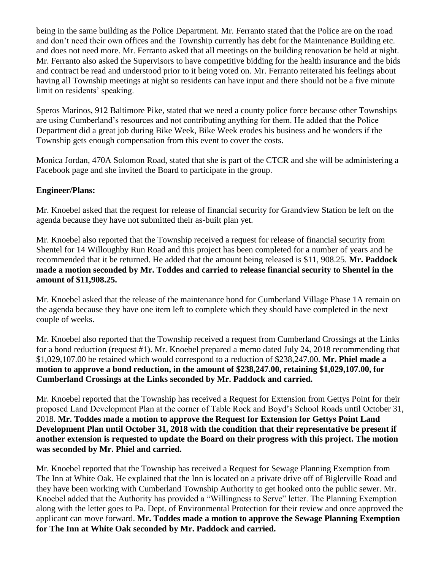being in the same building as the Police Department. Mr. Ferranto stated that the Police are on the road and don't need their own offices and the Township currently has debt for the Maintenance Building etc. and does not need more. Mr. Ferranto asked that all meetings on the building renovation be held at night. Mr. Ferranto also asked the Supervisors to have competitive bidding for the health insurance and the bids and contract be read and understood prior to it being voted on. Mr. Ferranto reiterated his feelings about having all Township meetings at night so residents can have input and there should not be a five minute limit on residents' speaking.

Speros Marinos, 912 Baltimore Pike, stated that we need a county police force because other Townships are using Cumberland's resources and not contributing anything for them. He added that the Police Department did a great job during Bike Week, Bike Week erodes his business and he wonders if the Township gets enough compensation from this event to cover the costs.

Monica Jordan, 470A Solomon Road, stated that she is part of the CTCR and she will be administering a Facebook page and she invited the Board to participate in the group.

### **Engineer/Plans:**

Mr. Knoebel asked that the request for release of financial security for Grandview Station be left on the agenda because they have not submitted their as-built plan yet.

Mr. Knoebel also reported that the Township received a request for release of financial security from Shentel for 14 Willoughby Run Road and this project has been completed for a number of years and he recommended that it be returned. He added that the amount being released is \$11, 908.25. **Mr. Paddock made a motion seconded by Mr. Toddes and carried to release financial security to Shentel in the amount of \$11,908.25.**

Mr. Knoebel asked that the release of the maintenance bond for Cumberland Village Phase 1A remain on the agenda because they have one item left to complete which they should have completed in the next couple of weeks.

Mr. Knoebel also reported that the Township received a request from Cumberland Crossings at the Links for a bond reduction (request #1). Mr. Knoebel prepared a memo dated July 24, 2018 recommending that \$1,029,107.00 be retained which would correspond to a reduction of \$238,247.00. **Mr. Phiel made a motion to approve a bond reduction, in the amount of \$238,247.00, retaining \$1,029,107.00, for Cumberland Crossings at the Links seconded by Mr. Paddock and carried.**

Mr. Knoebel reported that the Township has received a Request for Extension from Gettys Point for their proposed Land Development Plan at the corner of Table Rock and Boyd's School Roads until October 31, 2018. **Mr. Toddes made a motion to approve the Request for Extension for Gettys Point Land Development Plan until October 31, 2018 with the condition that their representative be present if another extension is requested to update the Board on their progress with this project. The motion was seconded by Mr. Phiel and carried.**

Mr. Knoebel reported that the Township has received a Request for Sewage Planning Exemption from The Inn at White Oak. He explained that the Inn is located on a private drive off of Biglerville Road and they have been working with Cumberland Township Authority to get hooked onto the public sewer. Mr. Knoebel added that the Authority has provided a "Willingness to Serve" letter. The Planning Exemption along with the letter goes to Pa. Dept. of Environmental Protection for their review and once approved the applicant can move forward. **Mr. Toddes made a motion to approve the Sewage Planning Exemption for The Inn at White Oak seconded by Mr. Paddock and carried.**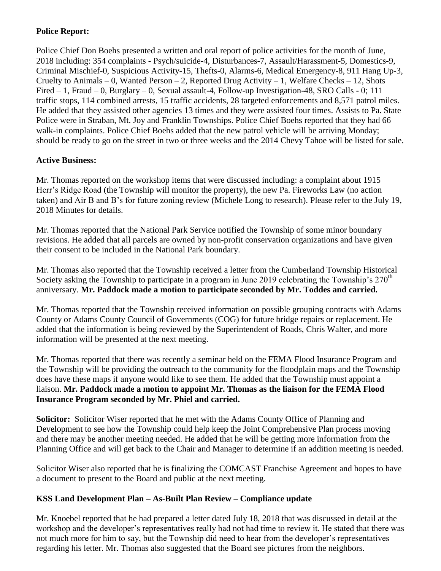## **Police Report:**

Police Chief Don Boehs presented a written and oral report of police activities for the month of June, 2018 including: 354 complaints - Psych/suicide-4, Disturbances-7, Assault/Harassment-5, Domestics-9, Criminal Mischief-0, Suspicious Activity-15, Thefts-0, Alarms-6, Medical Emergency-8, 911 Hang Up-3, Cruelty to Animals – 0, Wanted Person – 2, Reported Drug Activity – 1, Welfare Checks – 12, Shots Fired – 1, Fraud – 0, Burglary – 0, Sexual assault-4, Follow-up Investigation-48, SRO Calls - 0; 111 traffic stops, 114 combined arrests, 15 traffic accidents, 28 targeted enforcements and 8,571 patrol miles. He added that they assisted other agencies 13 times and they were assisted four times. Assists to Pa. State Police were in Straban, Mt. Joy and Franklin Townships. Police Chief Boehs reported that they had 66 walk-in complaints. Police Chief Boehs added that the new patrol vehicle will be arriving Monday; should be ready to go on the street in two or three weeks and the 2014 Chevy Tahoe will be listed for sale.

### **Active Business:**

Mr. Thomas reported on the workshop items that were discussed including: a complaint about 1915 Herr's Ridge Road (the Township will monitor the property), the new Pa. Fireworks Law (no action taken) and Air B and B's for future zoning review (Michele Long to research). Please refer to the July 19, 2018 Minutes for details.

Mr. Thomas reported that the National Park Service notified the Township of some minor boundary revisions. He added that all parcels are owned by non-profit conservation organizations and have given their consent to be included in the National Park boundary.

Mr. Thomas also reported that the Township received a letter from the Cumberland Township Historical Society asking the Township to participate in a program in June 2019 celebrating the Township's  $270<sup>th</sup>$ anniversary. **Mr. Paddock made a motion to participate seconded by Mr. Toddes and carried.**

Mr. Thomas reported that the Township received information on possible grouping contracts with Adams County or Adams County Council of Governments (COG) for future bridge repairs or replacement. He added that the information is being reviewed by the Superintendent of Roads, Chris Walter, and more information will be presented at the next meeting.

Mr. Thomas reported that there was recently a seminar held on the FEMA Flood Insurance Program and the Township will be providing the outreach to the community for the floodplain maps and the Township does have these maps if anyone would like to see them. He added that the Township must appoint a liaison. **Mr. Paddock made a motion to appoint Mr. Thomas as the liaison for the FEMA Flood Insurance Program seconded by Mr. Phiel and carried.**

**Solicitor:** Solicitor Wiser reported that he met with the Adams County Office of Planning and Development to see how the Township could help keep the Joint Comprehensive Plan process moving and there may be another meeting needed. He added that he will be getting more information from the Planning Office and will get back to the Chair and Manager to determine if an addition meeting is needed.

Solicitor Wiser also reported that he is finalizing the COMCAST Franchise Agreement and hopes to have a document to present to the Board and public at the next meeting.

# **KSS Land Development Plan – As-Built Plan Review – Compliance update**

Mr. Knoebel reported that he had prepared a letter dated July 18, 2018 that was discussed in detail at the workshop and the developer's representatives really had not had time to review it. He stated that there was not much more for him to say, but the Township did need to hear from the developer's representatives regarding his letter. Mr. Thomas also suggested that the Board see pictures from the neighbors.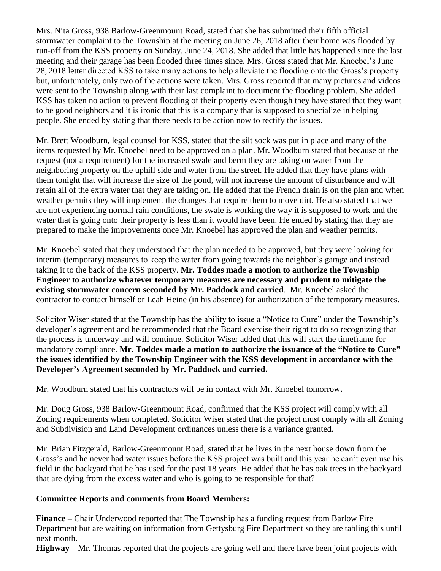Mrs. Nita Gross, 938 Barlow-Greenmount Road, stated that she has submitted their fifth official stormwater complaint to the Township at the meeting on June 26, 2018 after their home was flooded by run-off from the KSS property on Sunday, June 24, 2018. She added that little has happened since the last meeting and their garage has been flooded three times since. Mrs. Gross stated that Mr. Knoebel's June 28, 2018 letter directed KSS to take many actions to help alleviate the flooding onto the Gross's property but, unfortunately, only two of the actions were taken. Mrs. Gross reported that many pictures and videos were sent to the Township along with their last complaint to document the flooding problem. She added KSS has taken no action to prevent flooding of their property even though they have stated that they want to be good neighbors and it is ironic that this is a company that is supposed to specialize in helping people. She ended by stating that there needs to be action now to rectify the issues.

Mr. Brett Woodburn, legal counsel for KSS, stated that the silt sock was put in place and many of the items requested by Mr. Knoebel need to be approved on a plan. Mr. Woodburn stated that because of the request (not a requirement) for the increased swale and berm they are taking on water from the neighboring property on the uphill side and water from the street. He added that they have plans with them tonight that will increase the size of the pond, will not increase the amount of disturbance and will retain all of the extra water that they are taking on. He added that the French drain is on the plan and when weather permits they will implement the changes that require them to move dirt. He also stated that we are not experiencing normal rain conditions, the swale is working the way it is supposed to work and the water that is going onto their property is less than it would have been. He ended by stating that they are prepared to make the improvements once Mr. Knoebel has approved the plan and weather permits.

Mr. Knoebel stated that they understood that the plan needed to be approved, but they were looking for interim (temporary) measures to keep the water from going towards the neighbor's garage and instead taking it to the back of the KSS property. **Mr. Toddes made a motion to authorize the Township Engineer to authorize whatever temporary measures are necessary and prudent to mitigate the existing stormwater concern seconded by Mr. Paddock and carried**. Mr. Knoebel asked the contractor to contact himself or Leah Heine (in his absence) for authorization of the temporary measures.

Solicitor Wiser stated that the Township has the ability to issue a "Notice to Cure" under the Township's developer's agreement and he recommended that the Board exercise their right to do so recognizing that the process is underway and will continue. Solicitor Wiser added that this will start the timeframe for mandatory compliance. **Mr. Toddes made a motion to authorize the issuance of the "Notice to Cure" the issues identified by the Township Engineer with the KSS development in accordance with the Developer's Agreement seconded by Mr. Paddock and carried.** 

Mr. Woodburn stated that his contractors will be in contact with Mr. Knoebel tomorrow**.**

Mr. Doug Gross, 938 Barlow-Greenmount Road, confirmed that the KSS project will comply with all Zoning requirements when completed. Solicitor Wiser stated that the project must comply with all Zoning and Subdivision and Land Development ordinances unless there is a variance granted**.**

Mr. Brian Fitzgerald, Barlow-Greenmount Road, stated that he lives in the next house down from the Gross's and he never had water issues before the KSS project was built and this year he can't even use his field in the backyard that he has used for the past 18 years. He added that he has oak trees in the backyard that are dying from the excess water and who is going to be responsible for that?

### **Committee Reports and comments from Board Members:**

**Finance –** Chair Underwood reported that The Township has a funding request from Barlow Fire Department but are waiting on information from Gettysburg Fire Department so they are tabling this until next month.

**Highway –** Mr. Thomas reported that the projects are going well and there have been joint projects with